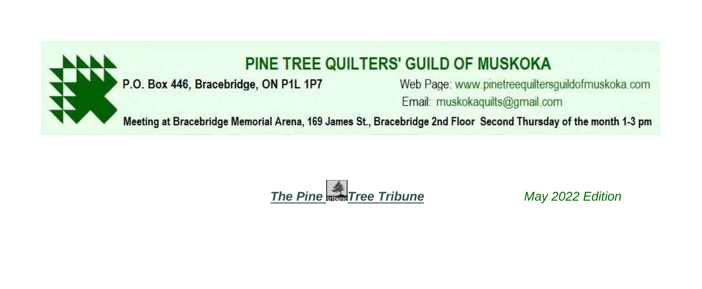

# PINE TREE QUILTERS' GUILD OF MUSKOKA

# P.O. Box 446, Bracebridge, ON P1L 1P7

Web Page: www.pinetreequiltersguildofmuskoka.com Email: muskokaquilts@gmail.com

Meeting at Bracebridge Memorial Arena, 169 James St., Bracebridge 2nd Floor Second Thursday of the month 1-3 pm



May 2022 Edition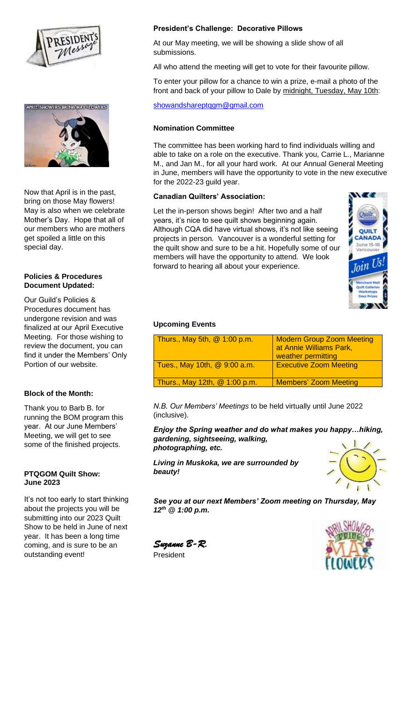



Now that April is in the past, bring on those May flowers! May is also when we celebrate Mother's Day. Hope that all of our members who are mothers get spoiled a little on this special day.

## **Policies & Procedures Document Updated:**

Our Guild's Policies & Procedures document has undergone revision and was finalized at our April Executive Meeting. For those wishing to review the document, you can find it under the Members' Only Portion of our website.

# **Block of the Month:**

Thank you to Barb B. for running the BOM program this year. At our June Members' Meeting, we will get to see some of the finished projects.

### **PTQGOM Quilt Show: June 2023**

It's not too early to start thinking about the projects you will be submitting into our 2023 Quilt Show to be held in June of next year. It has been a long time coming, and is sure to be an outstanding event!

# **President's Challenge: Decorative Pillows**

At our May meeting, we will be showing a slide show of all submissions.

All who attend the meeting will get to vote for their favourite pillow.

To enter your pillow for a chance to win a prize, e-mail a photo of the front and back of your pillow to Dale by midnight, Tuesday, May 10th:

## showandshareptqgm@gmail.com

## **Nomination Committee**

The committee has been working hard to find individuals willing and able to take on a role on the executive. Thank you, Carrie L., Marianne M., and Jan M., for all your hard work. At our Annual General Meeting in June, members will have the opportunity to vote in the new executive for the 2022-23 guild year.

### **Canadian Quilters' Association:**

Let the in-person shows begin! After two and a half years, it's nice to see quilt shows beginning again. Although CQA did have virtual shows, it's not like seeing projects in person. Vancouver is a wonderful setting for the quilt show and sure to be a hit. Hopefully some of our members will have the opportunity to attend. We look forward to hearing all about your experience.



### **Upcoming Events**

| Thurs., May 5th, $@1:00$ p.m.   | <b>Modern Group Zoom Meeting</b><br>at Annie Williams Park,<br>weather permitting |
|---------------------------------|-----------------------------------------------------------------------------------|
| Tues., May 10th, @ 9:00 a.m.    | <b>Executive Zoom Meeting</b>                                                     |
| Thurs., May 12th, $@$ 1:00 p.m. | <b>Members' Zoom Meeting</b>                                                      |

*N.B. Our Members' Meetings* to be held virtually until June 2022 (inclusive).

*Enjoy the Spring weather and do what makes you happy…hiking, gardening, sightseeing, walking, photographing, etc.* 

*Living in Muskoka, we are surrounded by beauty!*



*See you at our next Members' Zoom meeting on Thursday, May 12th @ 1:00 p.m.*

*Suzanne B-R.*  President

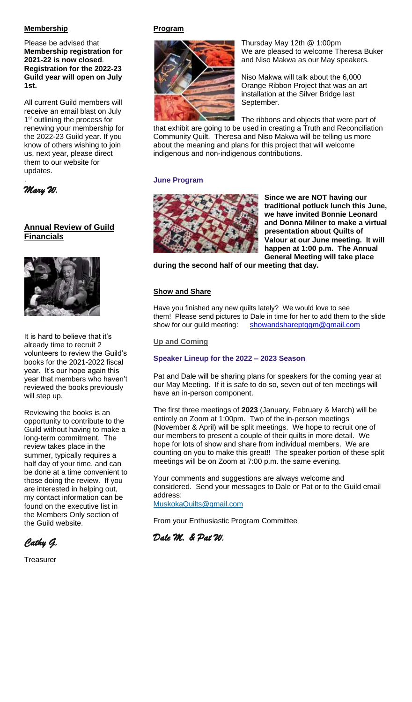# **Membership**

Please be advised that **Membership registration for 2021-22 is now closed**. **Registration for the 2022-23 Guild year will open on July 1st.**

All current Guild members will receive an email blast on July 1<sup>st</sup> outlining the process for renewing your membership for the 2022-23 Guild year. If you know of others wishing to join us, next year, please direct them to our website for updates. .

*Mary W.* 

# **Annual Review of Guild Financials**



It is hard to believe that it's already time to recruit 2 volunteers to review the Guild's books for the 2021-2022 fiscal year. It's our hope again this year that members who haven't reviewed the books previously will step up.

Reviewing the books is an opportunity to contribute to the Guild without having to make a long-term commitment. The review takes place in the summer, typically requires a half day of your time, and can be done at a time convenient to those doing the review. If you are interested in helping out, my contact information can be found on the executive list in the Members Only section of the Guild website.

*Cathy G.* 

**Treasurer** 

# **Program**



Thursday May 12th @ 1:00pm We are pleased to welcome Theresa Buker and Niso Makwa as our May speakers.

Niso Makwa will talk about the 6,000 Orange Ribbon Project that was an art installation at the Silver Bridge last September.

The ribbons and objects that were part of that exhibit are going to be used in creating a Truth and Reconciliation Community Quilt. Theresa and Niso Makwa will be telling us more about the meaning and plans for this project that will welcome indigenous and non-indigenous contributions.

# **June Program**



**Since we are NOT having our traditional potluck lunch this June, we have invited Bonnie Leonard and Donna Milner to make a virtual presentation about Quilts of Valour at our June meeting. It will happen at 1:00 p.m. The Annual General Meeting will take place**

**during the second half of our meeting that day.**

## **Show and Share**

Have you finished any new quilts lately? We would love to see them! Please send pictures to Dale in time for her to add them to the slide show for our guild meeting: showandshareptqgm@gmail.com

## **Up and Coming**

# **Speaker Lineup for the 2022 – 2023 Season**

Pat and Dale will be sharing plans for speakers for the coming year at our May Meeting. If it is safe to do so, seven out of ten meetings will have an in-person component.

The first three meetings of **2023** (January, February & March) will be entirely on Zoom at 1:00pm. Two of the in-person meetings (November & April) will be split meetings. We hope to recruit one of our members to present a couple of their quilts in more detail. We hope for lots of show and share from individual members. We are counting on you to make this great!! The speaker portion of these split meetings will be on Zoom at 7:00 p.m. the same evening.

Your comments and suggestions are always welcome and considered. Send your messages to Dale or Pat or to the Guild email address:

MuskokaQuilts@gmail.com

From your Enthusiastic Program Committee

*Dale M. & Pat W.*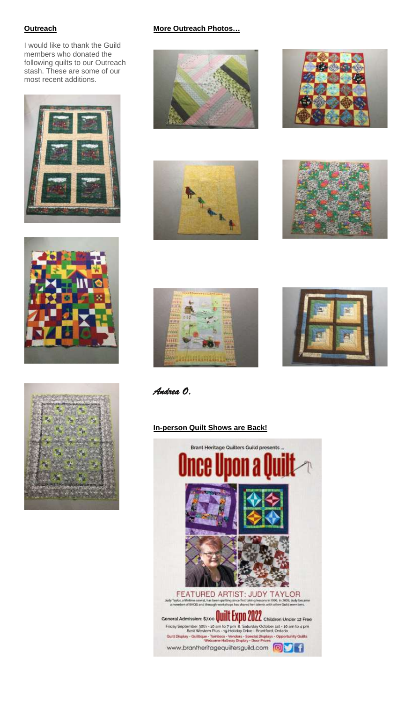# **Outreach**

I would like to thank the Guild members who donated the following quilts to our Outreach stash. These are some of our most recent additions.







# **More Outreach Photos…**













*Andrea O.*

# **In-person Quilt Shows are Back!**